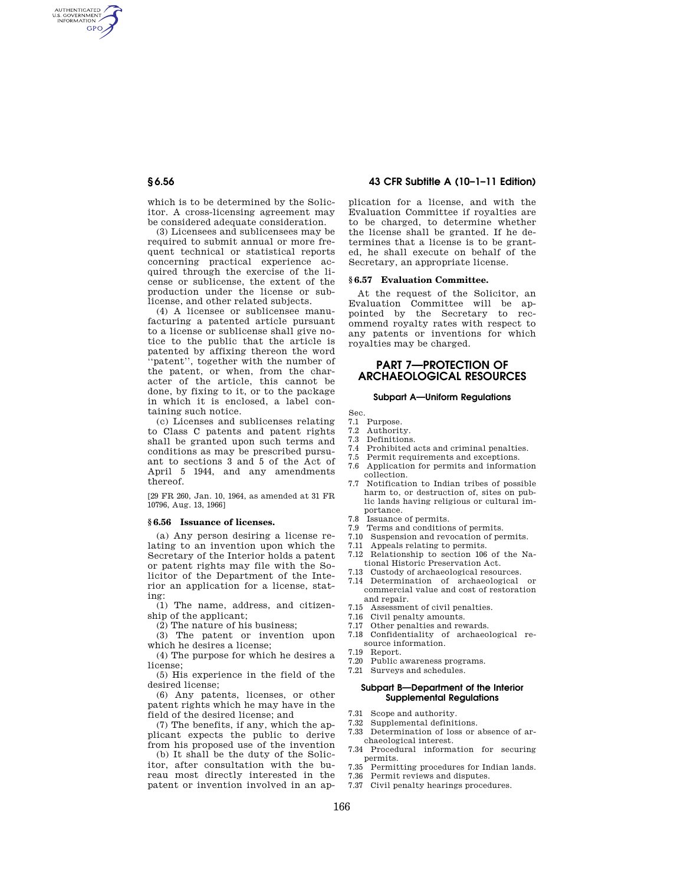AUTHENTICATED<br>U.S. GOVERNMENT<br>INFORMATION **GPO** 

> which is to be determined by the Solicitor. A cross-licensing agreement may be considered adequate consideration.

(3) Licensees and sublicensees may be required to submit annual or more frequent technical or statistical reports concerning practical experience acquired through the exercise of the license or sublicense, the extent of the production under the license or sublicense, and other related subjects.

(4) A licensee or sublicensee manufacturing a patented article pursuant to a license or sublicense shall give notice to the public that the article is patented by affixing thereon the word ''patent'', together with the number of the patent, or when, from the character of the article, this cannot be done, by fixing to it, or to the package in which it is enclosed, a label containing such notice.

(c) Licenses and sublicenses relating to Class C patents and patent rights shall be granted upon such terms and conditions as may be prescribed pursuant to sections 3 and 5 of the Act of April 5 1944, and any amendments thereof.

[29 FR 260, Jan. 10, 1964, as amended at 31 FR 10796, Aug. 13, 1966]

### **§ 6.56 Issuance of licenses.**

(a) Any person desiring a license relating to an invention upon which the Secretary of the Interior holds a patent or patent rights may file with the Solicitor of the Department of the Interior an application for a license, stating:

(1) The name, address, and citizenship of the applicant;

(2) The nature of his business;

(3) The patent or invention upon which he desires a license;

(4) The purpose for which he desires a license;

(5) His experience in the field of the desired license;

(6) Any patents, licenses, or other patent rights which he may have in the field of the desired license; and

(7) The benefits, if any, which the applicant expects the public to derive from his proposed use of the invention

(b) It shall be the duty of the Solicitor, after consultation with the bureau most directly interested in the patent or invention involved in an ap-

# **§ 6.56 43 CFR Subtitle A (10–1–11 Edition)**

plication for a license, and with the Evaluation Committee if royalties are to be charged, to determine whether the license shall be granted. If he determines that a license is to be granted, he shall execute on behalf of the Secretary, an appropriate license.

### **§ 6.57 Evaluation Committee.**

At the request of the Solicitor, an Evaluation Committee will be appointed by the Secretary to recommend royalty rates with respect to any patents or inventions for which royalties may be charged.

# **PART 7—PROTECTION OF ARCHAEOLOGICAL RESOURCES**

### **Subpart A—Uniform Regulations**

Sec.

- 7.1 Purpose.<br>7.2 Authorit
- 7.2 Authority.<br>7.3 Definitions Definitions.
- 
- 7.4 Prohibited acts and criminal penalties.<br>7.5 Permit requirements and exceptions. Permit requirements and exceptions.
- 7.6 Application for permits and information collection.
- 7.7 Notification to Indian tribes of possible harm to, or destruction of, sites on public lands having religious or cultural importance.
- 7.8 Issuance of permits.<br>7.9 Terms and condition
- Terms and conditions of permits.
- 7.10 Suspension and revocation of permits.<br>7.11 Appeals relating to permits
- Appeals relating to permits.
- 7.12 Relationship to section 106 of the National Historic Preservation Act.
- 7.13 Custody of archaeological resources.
- 7.14 Determination of archaeological or commercial value and cost of restoration and repair.
- 7.15 Assessment of civil penalties.
- 7.16 Civil penalty amounts.
- 7.17 Other penalties and rewards.
- 7.18 Confidentiality of archaeological resource information.
- 7.19 Report.
- 7.20 Public awareness programs.
- 7.21 Surveys and schedules.

# **Subpart B—Department of the Interior Supplemental Regulations**

- 7.31 Scope and authority.
- 7.32 Supplemental definitions.<br>7.33 Determination of loss or
- Determination of loss or absence of archaeological interest.
- 7.34 Procedural information for securing permits.
- 7.35 Permitting procedures for Indian lands. 7.36 Permit reviews and disputes.
- 7.37 Civil penalty hearings procedures.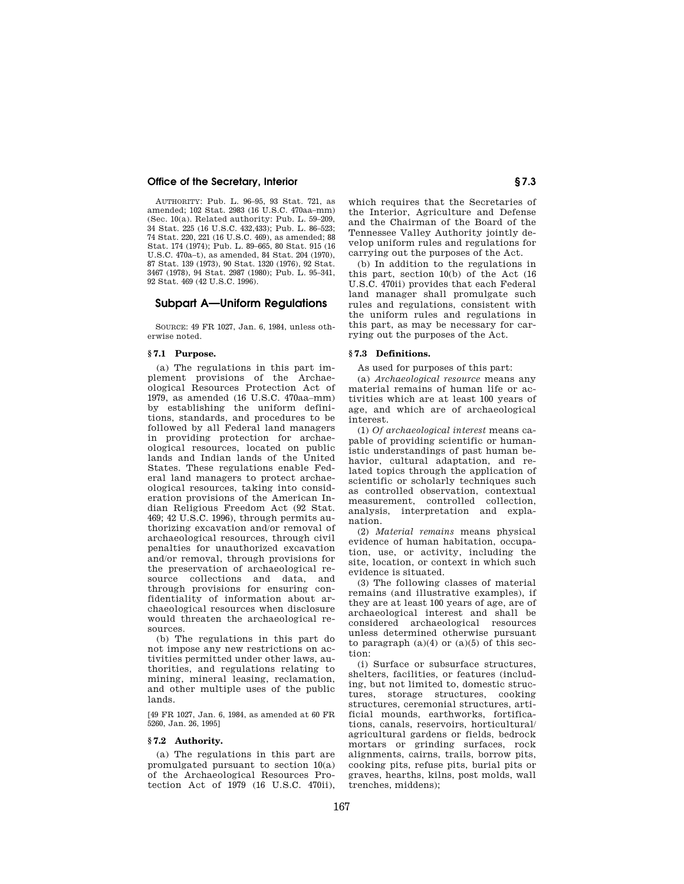AUTHORITY: Pub. L. 96–95, 93 Stat. 721, as amended; 102 Stat. 2983 (16 U.S.C. 470aa–mm) (Sec. 10(a). Related authority: Pub. L. 59–209, 34 Stat. 225 (16 U.S.C. 432,433); Pub. L. 86–523; 74 Stat. 220, 221 (16 U.S.C. 469), as amended; 88 Stat. 174 (1974); Pub. L. 89–665, 80 Stat. 915 (16 U.S.C. 470a–t), as amended, 84 Stat. 204 (1970), 87 Stat. 139 (1973), 90 Stat. 1320 (1976), 92 Stat. 3467 (1978), 94 Stat. 2987 (1980); Pub. L. 95–341, 92 Stat. 469 (42 U.S.C. 1996).

# **Subpart A—Uniform Regulations**

SOURCE: 49 FR 1027, Jan. 6, 1984, unless otherwise noted.

# **§ 7.1 Purpose.**

(a) The regulations in this part implement provisions of the Archaeological Resources Protection Act of 1979, as amended (16 U.S.C. 470aa–mm) by establishing the uniform definitions, standards, and procedures to be followed by all Federal land managers in providing protection for archaeological resources, located on public lands and Indian lands of the United States. These regulations enable Federal land managers to protect archaeological resources, taking into consideration provisions of the American Indian Religious Freedom Act (92 Stat. 469; 42 U.S.C. 1996), through permits authorizing excavation and/or removal of archaeological resources, through civil penalties for unauthorized excavation and/or removal, through provisions for the preservation of archaeological resource collections and data, and through provisions for ensuring confidentiality of information about archaeological resources when disclosure would threaten the archaeological resources.

(b) The regulations in this part do not impose any new restrictions on activities permitted under other laws, authorities, and regulations relating to mining, mineral leasing, reclamation, and other multiple uses of the public lands.

[49 FR 1027, Jan. 6, 1984, as amended at 60 FR 5260, Jan. 26, 1995]

## **§ 7.2 Authority.**

(a) The regulations in this part are promulgated pursuant to section 10(a) of the Archaeological Resources Protection Act of 1979 (16 U.S.C. 470ii), which requires that the Secretaries of the Interior, Agriculture and Defense and the Chairman of the Board of the Tennessee Valley Authority jointly develop uniform rules and regulations for carrying out the purposes of the Act.

(b) In addition to the regulations in this part, section 10(b) of the Act (16 U.S.C. 470ii) provides that each Federal land manager shall promulgate such rules and regulations, consistent with the uniform rules and regulations in this part, as may be necessary for carrying out the purposes of the Act.

### **§ 7.3 Definitions.**

As used for purposes of this part:

(a) *Archaeological resource* means any material remains of human life or activities which are at least 100 years of age, and which are of archaeological interest.

(1) *Of archaeological interest* means capable of providing scientific or humanistic understandings of past human behavior, cultural adaptation, and related topics through the application of scientific or scholarly techniques such as controlled observation, contextual measurement, controlled collection, analysis, interpretation and explanation.

(2) *Material remains* means physical evidence of human habitation, occupation, use, or activity, including the site, location, or context in which such evidence is situated.

(3) The following classes of material remains (and illustrative examples), if they are at least 100 years of age, are of archaeological interest and shall be considered archaeological resources unless determined otherwise pursuant to paragraph  $(a)(4)$  or  $(a)(5)$  of this section:

(i) Surface or subsurface structures, shelters, facilities, or features (including, but not limited to, domestic structures, storage structures, cooking structures, ceremonial structures, artificial mounds, earthworks, fortifications, canals, reservoirs, horticultural/ agricultural gardens or fields, bedrock mortars or grinding surfaces, rock alignments, cairns, trails, borrow pits, cooking pits, refuse pits, burial pits or graves, hearths, kilns, post molds, wall trenches, middens);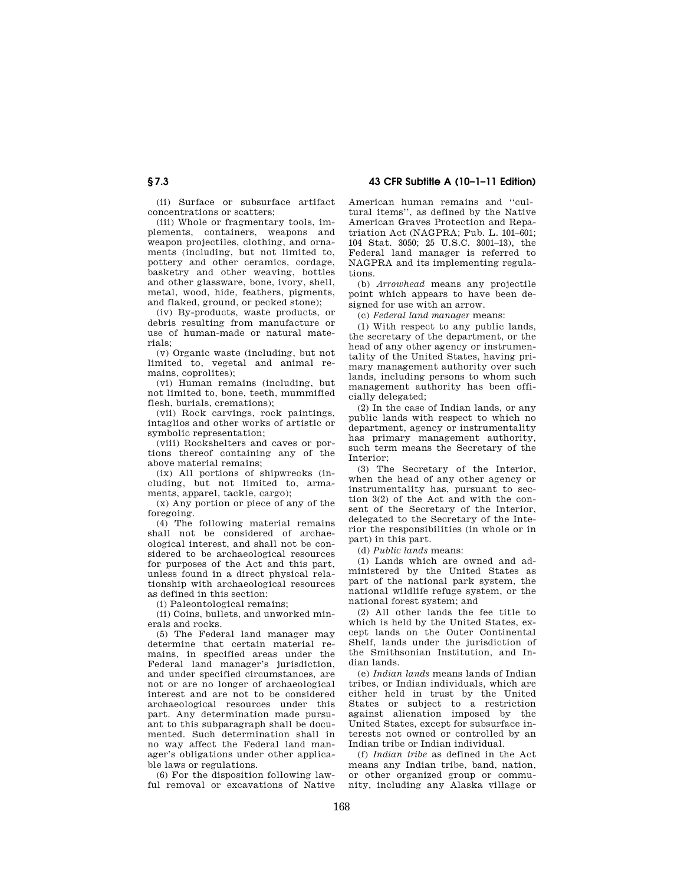(ii) Surface or subsurface artifact concentrations or scatters;

(iii) Whole or fragmentary tools, implements, containers, weapons and weapon projectiles, clothing, and ornaments (including, but not limited to, pottery and other ceramics, cordage, basketry and other weaving, bottles and other glassware, bone, ivory, shell, metal, wood, hide, feathers, pigments, and flaked, ground, or pecked stone);

(iv) By-products, waste products, or debris resulting from manufacture or use of human-made or natural materials;

(v) Organic waste (including, but not limited to, vegetal and animal remains, coprolites);

(vi) Human remains (including, but not limited to, bone, teeth, mummified flesh, burials, cremations);

(vii) Rock carvings, rock paintings, intaglios and other works of artistic or symbolic representation;

(viii) Rockshelters and caves or portions thereof containing any of the above material remains;

(ix) All portions of shipwrecks (including, but not limited to, armaments, apparel, tackle, cargo);

(x) Any portion or piece of any of the foregoing.

(4) The following material remains shall not be considered of archaeological interest, and shall not be considered to be archaeological resources for purposes of the Act and this part, unless found in a direct physical relationship with archaeological resources as defined in this section:

(i) Paleontological remains;

(ii) Coins, bullets, and unworked minerals and rocks.

(5) The Federal land manager may determine that certain material remains, in specified areas under the Federal land manager's jurisdiction, and under specified circumstances, are not or are no longer of archaeological interest and are not to be considered archaeological resources under this part. Any determination made pursuant to this subparagraph shall be documented. Such determination shall in no way affect the Federal land manager's obligations under other applicable laws or regulations.

(6) For the disposition following lawful removal or excavations of Native American human remains and ''cultural items'', as defined by the Native American Graves Protection and Repatriation Act (NAGPRA; Pub. L. 101–601; 104 Stat. 3050; 25 U.S.C. 3001–13), the Federal land manager is referred to NAGPRA and its implementing regulations.

(b) *Arrowhead* means any projectile point which appears to have been designed for use with an arrow.

(c) *Federal land manager* means:

(1) With respect to any public lands, the secretary of the department, or the head of any other agency or instrumentality of the United States, having primary management authority over such lands, including persons to whom such management authority has been officially delegated;

(2) In the case of Indian lands, or any public lands with respect to which no department, agency or instrumentality has primary management authority, such term means the Secretary of the Interior;

(3) The Secretary of the Interior, when the head of any other agency or instrumentality has, pursuant to section 3(2) of the Act and with the consent of the Secretary of the Interior, delegated to the Secretary of the Interior the responsibilities (in whole or in part) in this part.

(d) *Public lands* means:

(1) Lands which are owned and administered by the United States as part of the national park system, the national wildlife refuge system, or the national forest system; and

(2) All other lands the fee title to which is held by the United States, except lands on the Outer Continental Shelf, lands under the jurisdiction of the Smithsonian Institution, and Indian lands.

(e) *Indian lands* means lands of Indian tribes, or Indian individuals, which are either held in trust by the United States or subject to a restriction against alienation imposed by the United States, except for subsurface interests not owned or controlled by an Indian tribe or Indian individual.

(f) *Indian tribe* as defined in the Act means any Indian tribe, band, nation, or other organized group or community, including any Alaska village or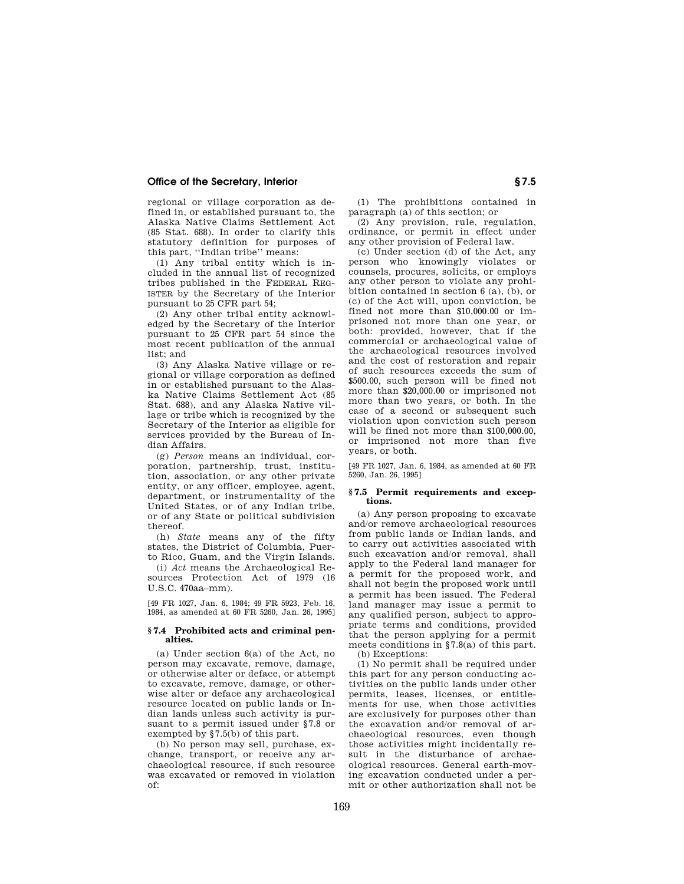regional or village corporation as defined in, or established pursuant to, the Alaska Native Claims Settlement Act (85 Stat. 688). In order to clarify this statutory definition for purposes of this part, ''Indian tribe'' means:

(1) Any tribal entity which is included in the annual list of recognized tribes published in the FEDERAL REG-ISTER by the Secretary of the Interior pursuant to 25 CFR part 54;

(2) Any other tribal entity acknowledged by the Secretary of the Interior pursuant to 25 CFR part 54 since the most recent publication of the annual list; and

(3) Any Alaska Native village or regional or village corporation as defined in or established pursuant to the Alaska Native Claims Settlement Act (85 Stat. 688), and any Alaska Native village or tribe which is recognized by the Secretary of the Interior as eligible for services provided by the Bureau of Indian Affairs.

(g) *Person* means an individual, corporation, partnership, trust, institution, association, or any other private entity, or any officer, employee, agent, department, or instrumentality of the United States, or of any Indian tribe, or of any State or political subdivision thereof.

(h) *State* means any of the fifty states, the District of Columbia, Puerto Rico, Guam, and the Virgin Islands.

(i) *Act* means the Archaeological Resources Protection Act of 1979 (16 U.S.C. 470aa–mm).

[49 FR 1027, Jan. 6, 1984; 49 FR 5923, Feb. 16, 1984, as amended at 60 FR 5260, Jan. 26, 1995]

### **§ 7.4 Prohibited acts and criminal penalties.**

(a) Under section 6(a) of the Act, no person may excavate, remove, damage, or otherwise alter or deface, or attempt to excavate, remove, damage, or otherwise alter or deface any archaeological resource located on public lands or Indian lands unless such activity is pursuant to a permit issued under §7.8 or exempted by §7.5(b) of this part.

(b) No person may sell, purchase, exchange, transport, or receive any archaeological resource, if such resource was excavated or removed in violation of:

(1) The prohibitions contained in paragraph (a) of this section; or

(2) Any provision, rule, regulation, ordinance, or permit in effect under any other provision of Federal law.

(c) Under section (d) of the Act, any person who knowingly violates or counsels, procures, solicits, or employs any other person to violate any prohibition contained in section 6 (a), (b), or (c) of the Act will, upon conviction, be fined not more than \$10,000.00 or imprisoned not more than one year, or both: provided, however, that if the commercial or archaeological value of the archaeological resources involved and the cost of restoration and repair of such resources exceeds the sum of \$500.00, such person will be fined not more than \$20,000.00 or imprisoned not more than two years, or both. In the case of a second or subsequent such violation upon conviction such person will be fined not more than \$100,000.00, or imprisoned not more than five years, or both.

[49 FR 1027, Jan. 6, 1984, as amended at 60 FR 5260, Jan. 26, 1995]

### **§ 7.5 Permit requirements and exceptions.**

(a) Any person proposing to excavate and/or remove archaeological resources from public lands or Indian lands, and to carry out activities associated with such excavation and/or removal, shall apply to the Federal land manager for a permit for the proposed work, and shall not begin the proposed work until a permit has been issued. The Federal land manager may issue a permit to any qualified person, subject to appropriate terms and conditions, provided that the person applying for a permit meets conditions in §7.8(a) of this part. (b) Exceptions:

(1) No permit shall be required under this part for any person conducting activities on the public lands under other permits, leases, licenses, or entitlements for use, when those activities are exclusively for purposes other than the excavation and/or removal of archaeological resources, even though those activities might incidentally result in the disturbance of archaeological resources. General earth-moving excavation conducted under a permit or other authorization shall not be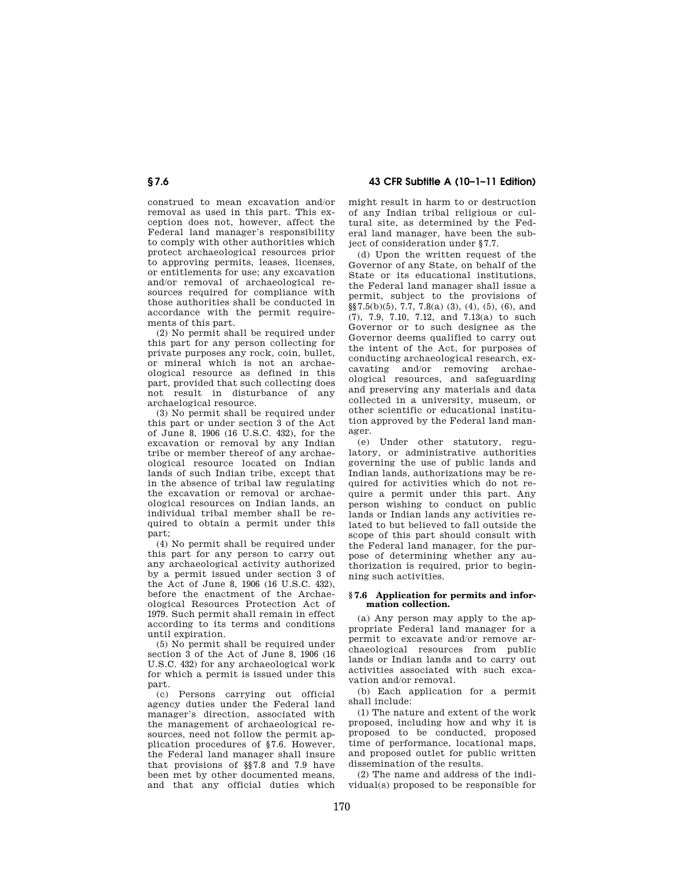# **§ 7.6 43 CFR Subtitle A (10–1–11 Edition)**

construed to mean excavation and/or removal as used in this part. This exception does not, however, affect the Federal land manager's responsibility to comply with other authorities which protect archaeological resources prior to approving permits, leases, licenses, or entitlements for use; any excavation and/or removal of archaeological resources required for compliance with those authorities shall be conducted in accordance with the permit requirements of this part.

(2) No permit shall be required under this part for any person collecting for private purposes any rock, coin, bullet, or mineral which is not an archaeological resource as defined in this part, provided that such collecting does not result in disturbance of any archaelogical resource.

(3) No permit shall be required under this part or under section 3 of the Act of June 8, 1906 (16 U.S.C. 432), for the excavation or removal by any Indian tribe or member thereof of any archaeological resource located on Indian lands of such Indian tribe, except that in the absence of tribal law regulating the excavation or removal or archaeological resources on Indian lands, an individual tribal member shall be required to obtain a permit under this part;

(4) No permit shall be required under this part for any person to carry out any archaeological activity authorized by a permit issued under section 3 of the Act of June 8, 1906 (16 U.S.C. 432), before the enactment of the Archaeological Resources Protection Act of 1979. Such permit shall remain in effect according to its terms and conditions until expiration.

(5) No permit shall be required under section 3 of the Act of June 8, 1906 (16 U.S.C. 432) for any archaeological work for which a permit is issued under this part.

(c) Persons carrying out official agency duties under the Federal land manager's direction, associated with the management of archaeological resources, need not follow the permit application procedures of §7.6. However, the Federal land manager shall insure that provisions of §§7.8 and 7.9 have been met by other documented means, and that any official duties which might result in harm to or destruction of any Indian tribal religious or cultural site, as determined by the Federal land manager, have been the subject of consideration under §7.7.

(d) Upon the written request of the Governor of any State, on behalf of the State or its educational institutions, the Federal land manager shall issue a permit, subject to the provisions of  $\S$ §7.5(b)(5), 7.7, 7.8(a) (3), (4), (5), (6), and (7), 7.9, 7.10, 7.12, and 7.13(a) to such Governor or to such designee as the Governor deems qualified to carry out the intent of the Act, for purposes of conducting archaeological research, excavating and/or removing archaeological resources, and safeguarding and preserving any materials and data collected in a university, museum, or other scientific or educational institution approved by the Federal land manager.

(e) Under other statutory, regulatory, or administrative authorities governing the use of public lands and Indian lands, authorizations may be required for activities which do not require a permit under this part. Any person wishing to conduct on public lands or Indian lands any activities related to but believed to fall outside the scope of this part should consult with the Federal land manager, for the purpose of determining whether any authorization is required, prior to beginning such activities.

### **§ 7.6 Application for permits and information collection.**

(a) Any person may apply to the appropriate Federal land manager for a permit to excavate and/or remove archaeological resources from public lands or Indian lands and to carry out activities associated with such excavation and/or removal.

(b) Each application for a permit shall include:

(1) The nature and extent of the work proposed, including how and why it is proposed to be conducted, proposed time of performance, locational maps, and proposed outlet for public written dissemination of the results.

(2) The name and address of the individual(s) proposed to be responsible for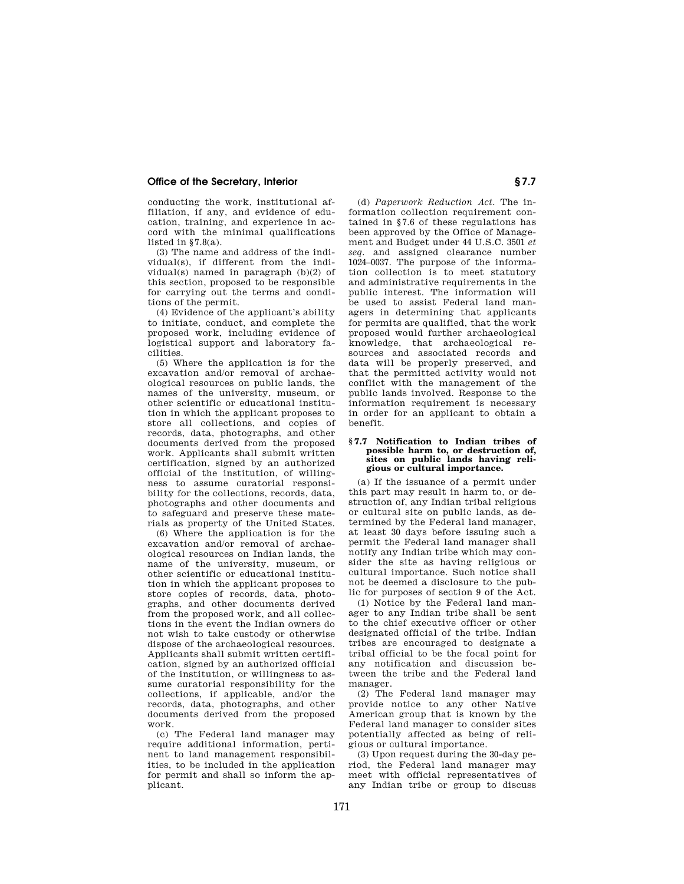conducting the work, institutional affiliation, if any, and evidence of education, training, and experience in accord with the minimal qualifications listed in §7.8(a).

(3) The name and address of the individual(s), if different from the individual(s) named in paragraph (b)(2) of this section, proposed to be responsible for carrying out the terms and conditions of the permit.

(4) Evidence of the applicant's ability to initiate, conduct, and complete the proposed work, including evidence of logistical support and laboratory facilities.

(5) Where the application is for the excavation and/or removal of archaeological resources on public lands, the names of the university, museum, or other scientific or educational institution in which the applicant proposes to store all collections, and copies of records, data, photographs, and other documents derived from the proposed work. Applicants shall submit written certification, signed by an authorized official of the institution, of willingness to assume curatorial responsibility for the collections, records, data, photographs and other documents and to safeguard and preserve these materials as property of the United States.

(6) Where the application is for the excavation and/or removal of archaeological resources on Indian lands, the name of the university, museum, or other scientific or educational institution in which the applicant proposes to store copies of records, data, photographs, and other documents derived from the proposed work, and all collections in the event the Indian owners do not wish to take custody or otherwise dispose of the archaeological resources. Applicants shall submit written certification, signed by an authorized official of the institution, or willingness to assume curatorial responsibility for the collections, if applicable, and/or the records, data, photographs, and other documents derived from the proposed work.

(c) The Federal land manager may require additional information, pertinent to land management responsibilities, to be included in the application for permit and shall so inform the applicant.

(d) *Paperwork Reduction Act.* The information collection requirement contained in §7.6 of these regulations has been approved by the Office of Management and Budget under 44 U.S.C. 3501 *et seq.* and assigned clearance number 1024–0037. The purpose of the information collection is to meet statutory and administrative requirements in the public interest. The information will be used to assist Federal land managers in determining that applicants for permits are qualified, that the work proposed would further archaeological knowledge, that archaeological resources and associated records and data will be properly preserved, and that the permitted activity would not conflict with the management of the public lands involved. Response to the information requirement is necessary in order for an applicant to obtain a benefit.

### **§ 7.7 Notification to Indian tribes of possible harm to, or destruction of, sites on public lands having religious or cultural importance.**

(a) If the issuance of a permit under this part may result in harm to, or destruction of, any Indian tribal religious or cultural site on public lands, as determined by the Federal land manager, at least 30 days before issuing such a permit the Federal land manager shall notify any Indian tribe which may consider the site as having religious or cultural importance. Such notice shall not be deemed a disclosure to the public for purposes of section 9 of the Act.

(1) Notice by the Federal land manager to any Indian tribe shall be sent to the chief executive officer or other designated official of the tribe. Indian tribes are encouraged to designate a tribal official to be the focal point for any notification and discussion between the tribe and the Federal land manager.

(2) The Federal land manager may provide notice to any other Native American group that is known by the Federal land manager to consider sites potentially affected as being of religious or cultural importance.

(3) Upon request during the 30-day period, the Federal land manager may meet with official representatives of any Indian tribe or group to discuss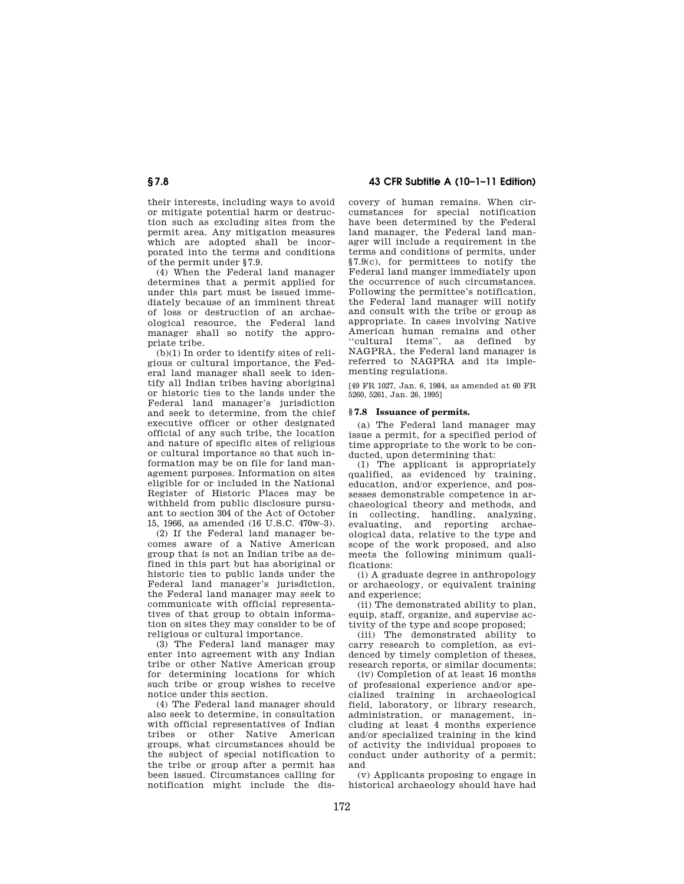their interests, including ways to avoid or mitigate potential harm or destruction such as excluding sites from the permit area. Any mitigation measures which are adopted shall be incorporated into the terms and conditions of the permit under §7.9.

(4) When the Federal land manager determines that a permit applied for under this part must be issued immediately because of an imminent threat of loss or destruction of an archaeological resource, the Federal land manager shall so notify the appropriate tribe.

(b)(1) In order to identify sites of religious or cultural importance, the Federal land manager shall seek to identify all Indian tribes having aboriginal or historic ties to the lands under the Federal land manager's jurisdiction and seek to determine, from the chief executive officer or other designated official of any such tribe, the location and nature of specific sites of religious or cultural importance so that such information may be on file for land management purposes. Information on sites eligible for or included in the National Register of Historic Places may be withheld from public disclosure pursuant to section 304 of the Act of October 15, 1966, as amended (16 U.S.C. 470w–3).

(2) If the Federal land manager becomes aware of a Native American group that is not an Indian tribe as defined in this part but has aboriginal or historic ties to public lands under the Federal land manager's jurisdiction, the Federal land manager may seek to communicate with official representatives of that group to obtain information on sites they may consider to be of religious or cultural importance.

(3) The Federal land manager may enter into agreement with any Indian tribe or other Native American group for determining locations for which such tribe or group wishes to receive notice under this section.

(4) The Federal land manager should also seek to determine, in consultation with official representatives of Indian tribes or other Native American groups, what circumstances should be the subject of special notification to the tribe or group after a permit has been issued. Circumstances calling for notification might include the dis-

**§ 7.8 43 CFR Subtitle A (10–1–11 Edition)** 

covery of human remains. When circumstances for special notification have been determined by the Federal land manager, the Federal land manager will include a requirement in the terms and conditions of permits, under §7.9(c), for permittees to notify the Federal land manger immediately upon the occurrence of such circumstances. Following the permittee's notification, the Federal land manager will notify and consult with the tribe or group as appropriate. In cases involving Native American human remains and other ''cultural items'', as defined by NAGPRA, the Federal land manager is referred to NAGPRA and its implementing regulations.

[49 FR 1027, Jan. 6, 1984, as amended at 60 FR 5260, 5261, Jan. 26, 1995]

## **§ 7.8 Issuance of permits.**

(a) The Federal land manager may issue a permit, for a specified period of time appropriate to the work to be conducted, upon determining that:

(1) The applicant is appropriately qualified, as evidenced by training, education, and/or experience, and possesses demonstrable competence in archaeological theory and methods, and in collecting, handling, analyzing, evaluating, and reporting archaeological data, relative to the type and scope of the work proposed, and also meets the following minimum qualifications:

(i) A graduate degree in anthropology or archaeology, or equivalent training and experience;

(ii) The demonstrated ability to plan, equip, staff, organize, and supervise activity of the type and scope proposed;

(iii) The demonstrated ability to carry research to completion, as evidenced by timely completion of theses, research reports, or similar documents;

(iv) Completion of at least 16 months of professional experience and/or specialized training in archaeological field, laboratory, or library research, administration, or management, including at least 4 months experience and/or specialized training in the kind of activity the individual proposes to conduct under authority of a permit; and

(v) Applicants proposing to engage in historical archaeology should have had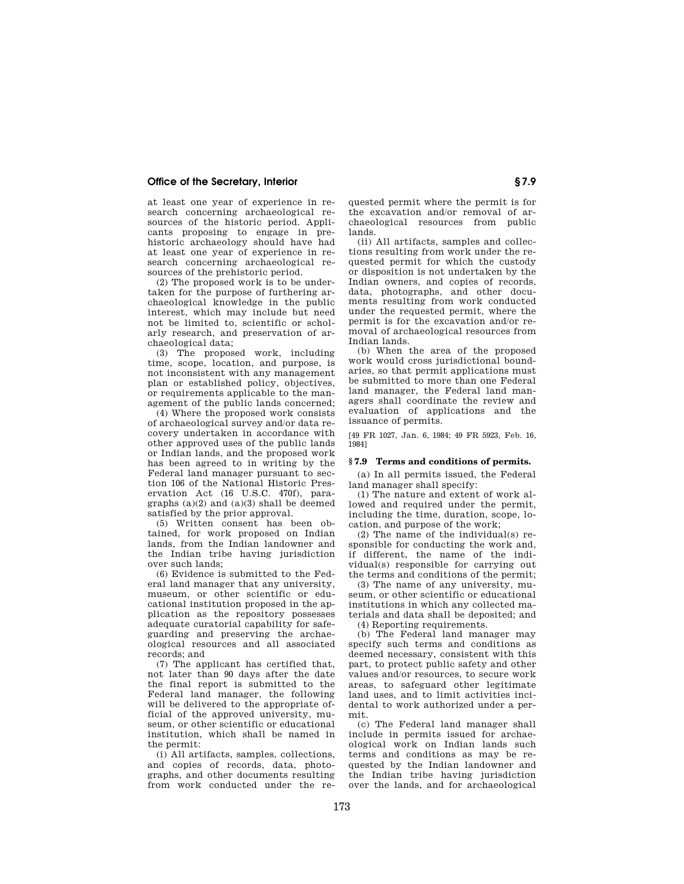at least one year of experience in research concerning archaeological resources of the historic period. Applicants proposing to engage in prehistoric archaeology should have had at least one year of experience in research concerning archaeological resources of the prehistoric period.

(2) The proposed work is to be undertaken for the purpose of furthering archaeological knowledge in the public interest, which may include but need not be limited to, scientific or scholarly research, and preservation of archaeological data;

(3) The proposed work, including time, scope, location, and purpose, is not inconsistent with any management plan or established policy, objectives, or requirements applicable to the management of the public lands concerned;

(4) Where the proposed work consists of archaeological survey and/or data recovery undertaken in accordance with other approved uses of the public lands or Indian lands, and the proposed work has been agreed to in writing by the Federal land manager pursuant to section 106 of the National Historic Preservation Act (16 U.S.C. 470f), paragraphs  $(a)(2)$  and  $(a)(3)$  shall be deemed satisfied by the prior approval.

(5) Written consent has been obtained, for work proposed on Indian lands, from the Indian landowner and the Indian tribe having jurisdiction over such lands;

(6) Evidence is submitted to the Federal land manager that any university, museum, or other scientific or educational institution proposed in the application as the repository possesses adequate curatorial capability for safeguarding and preserving the archaeological resources and all associated records; and

(7) The applicant has certified that, not later than 90 days after the date the final report is submitted to the Federal land manager, the following will be delivered to the appropriate official of the approved university, museum, or other scientific or educational institution, which shall be named in the permit:

(i) All artifacts, samples, collections, and copies of records, data, photographs, and other documents resulting from work conducted under the re-

quested permit where the permit is for the excavation and/or removal of archaeological resources from public lands.

(ii) All artifacts, samples and collections resulting from work under the requested permit for which the custody or disposition is not undertaken by the Indian owners, and copies of records, data, photographs, and other documents resulting from work conducted under the requested permit, where the permit is for the excavation and/or removal of archaeological resources from Indian lands.

(b) When the area of the proposed work would cross jurisdictional boundaries, so that permit applications must be submitted to more than one Federal land manager, the Federal land managers shall coordinate the review and evaluation of applications and the issuance of permits.

[49 FR 1027, Jan. 6, 1984; 49 FR 5923, Feb. 16, 1984]

### **§ 7.9 Terms and conditions of permits.**

(a) In all permits issued, the Federal land manager shall specify:

(1) The nature and extent of work allowed and required under the permit, including the time, duration, scope, location, and purpose of the work;

(2) The name of the individual(s) responsible for conducting the work and, if different, the name of the individual(s) responsible for carrying out the terms and conditions of the permit;

(3) The name of any university, museum, or other scientific or educational institutions in which any collected materials and data shall be deposited; and

(4) Reporting requirements.

(b) The Federal land manager may specify such terms and conditions as deemed necessary, consistent with this part, to protect public safety and other values and/or resources, to secure work areas, to safeguard other legitimate land uses, and to limit activities incidental to work authorized under a permit.

(c) The Federal land manager shall include in permits issued for archaeological work on Indian lands such terms and conditions as may be requested by the Indian landowner and the Indian tribe having jurisdiction over the lands, and for archaeological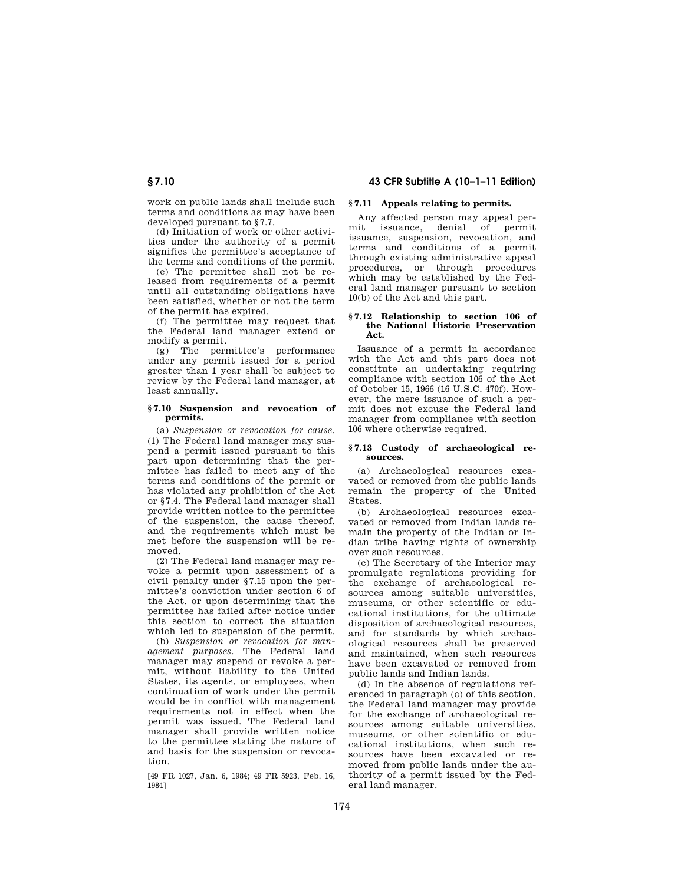work on public lands shall include such terms and conditions as may have been developed pursuant to §7.7.

(d) Initiation of work or other activities under the authority of a permit signifies the permittee's acceptance of the terms and conditions of the permit.

(e) The permittee shall not be released from requirements of a permit until all outstanding obligations have been satisfied, whether or not the term of the permit has expired.

(f) The permittee may request that the Federal land manager extend or modify a permit.

(g) The permittee's performance under any permit issued for a period greater than 1 year shall be subject to review by the Federal land manager, at least annually.

### **§ 7.10 Suspension and revocation of permits.**

(a) *Suspension or revocation for cause.*  (1) The Federal land manager may suspend a permit issued pursuant to this part upon determining that the permittee has failed to meet any of the terms and conditions of the permit or has violated any prohibition of the Act or §7.4. The Federal land manager shall provide written notice to the permittee of the suspension, the cause thereof, and the requirements which must be met before the suspension will be removed.

(2) The Federal land manager may revoke a permit upon assessment of a civil penalty under §7.15 upon the permittee's conviction under section 6 of the Act, or upon determining that the permittee has failed after notice under this section to correct the situation which led to suspension of the permit.

(b) *Suspension or revocation for management purposes.* The Federal land manager may suspend or revoke a permit, without liability to the United States, its agents, or employees, when continuation of work under the permit would be in conflict with management requirements not in effect when the permit was issued. The Federal land manager shall provide written notice to the permittee stating the nature of and basis for the suspension or revocation.

[49 FR 1027, Jan. 6, 1984; 49 FR 5923, Feb. 16, 1984]

# **§ 7.11 Appeals relating to permits.**

Any affected person may appeal permit issuance, denial of permit issuance, suspension, revocation, and terms and conditions of a permit through existing administrative appeal procedures, or through procedures which may be established by the Federal land manager pursuant to section 10(b) of the Act and this part.

### **§ 7.12 Relationship to section 106 of the National Historic Preservation Act.**

Issuance of a permit in accordance with the Act and this part does not constitute an undertaking requiring compliance with section 106 of the Act of October 15, 1966 (16 U.S.C. 470f). However, the mere issuance of such a permit does not excuse the Federal land manager from compliance with section 106 where otherwise required.

### **§ 7.13 Custody of archaeological resources.**

(a) Archaeological resources excavated or removed from the public lands remain the property of the United States.

(b) Archaeological resources excavated or removed from Indian lands remain the property of the Indian or Indian tribe having rights of ownership over such resources.

(c) The Secretary of the Interior may promulgate regulations providing for the exchange of archaeological resources among suitable universities, museums, or other scientific or educational institutions, for the ultimate disposition of archaeological resources, and for standards by which archaeological resources shall be preserved and maintained, when such resources have been excavated or removed from public lands and Indian lands.

(d) In the absence of regulations referenced in paragraph (c) of this section, the Federal land manager may provide for the exchange of archaeological resources among suitable universities, museums, or other scientific or educational institutions, when such resources have been excavated or removed from public lands under the authority of a permit issued by the Federal land manager.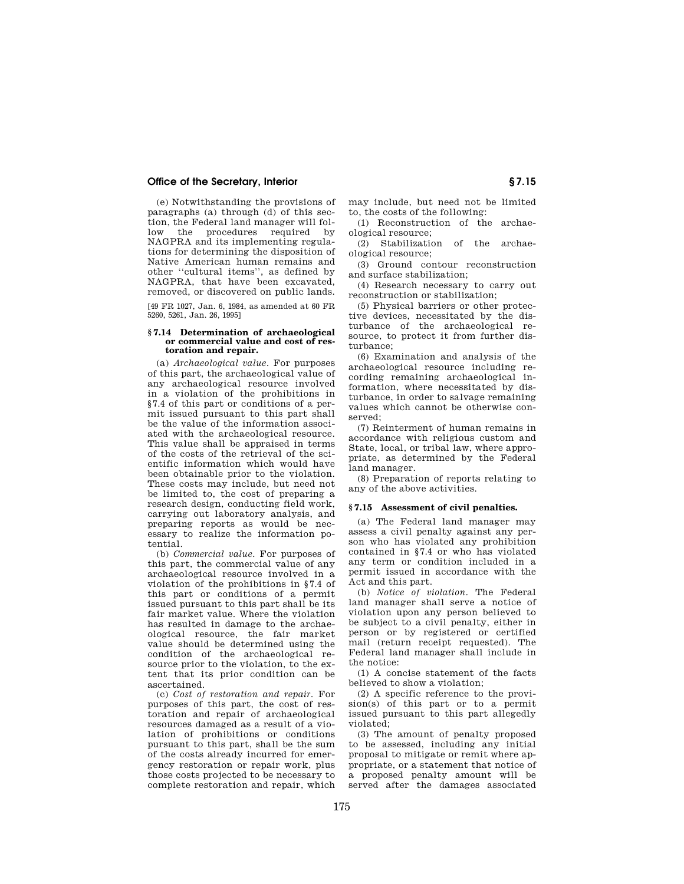(e) Notwithstanding the provisions of paragraphs (a) through (d) of this section, the Federal land manager will follow the procedures required by NAGPRA and its implementing regulations for determining the disposition of Native American human remains and other ''cultural items'', as defined by NAGPRA, that have been excavated, removed, or discovered on public lands.

[49 FR 1027, Jan. 6, 1984, as amended at 60 FR 5260, 5261, Jan. 26, 1995]

### **§ 7.14 Determination of archaeological or commercial value and cost of restoration and repair.**

(a) *Archaeological value.* For purposes of this part, the archaeological value of any archaeological resource involved in a violation of the prohibitions in §7.4 of this part or conditions of a permit issued pursuant to this part shall be the value of the information associated with the archaeological resource. This value shall be appraised in terms of the costs of the retrieval of the scientific information which would have been obtainable prior to the violation. These costs may include, but need not be limited to, the cost of preparing a research design, conducting field work, carrying out laboratory analysis, and preparing reports as would be necessary to realize the information potential.

(b) *Commercial value.* For purposes of this part, the commercial value of any archaeological resource involved in a violation of the prohibitions in §7.4 of this part or conditions of a permit issued pursuant to this part shall be its fair market value. Where the violation has resulted in damage to the archaeological resource, the fair market value should be determined using the condition of the archaeological resource prior to the violation, to the extent that its prior condition can be ascertained.

(c) *Cost of restoration and repair.* For purposes of this part, the cost of restoration and repair of archaeological resources damaged as a result of a violation of prohibitions or conditions pursuant to this part, shall be the sum of the costs already incurred for emergency restoration or repair work, plus those costs projected to be necessary to complete restoration and repair, which

may include, but need not be limited to, the costs of the following:

(1) Reconstruction of the archaeological resource;

(2) Stabilization of the archaeological resource;

(3) Ground contour reconstruction and surface stabilization;

(4) Research necessary to carry out reconstruction or stabilization;

(5) Physical barriers or other protective devices, necessitated by the disturbance of the archaeological resource, to protect it from further disturbance;

(6) Examination and analysis of the archaeological resource including recording remaining archaeological information, where necessitated by disturbance, in order to salvage remaining values which cannot be otherwise conserved;

(7) Reinterment of human remains in accordance with religious custom and State, local, or tribal law, where appropriate, as determined by the Federal land manager.

(8) Preparation of reports relating to any of the above activities.

### **§ 7.15 Assessment of civil penalties.**

(a) The Federal land manager may assess a civil penalty against any person who has violated any prohibition contained in §7.4 or who has violated any term or condition included in a permit issued in accordance with the Act and this part.

(b) *Notice of violation.* The Federal land manager shall serve a notice of violation upon any person believed to be subject to a civil penalty, either in person or by registered or certified mail (return receipt requested). The Federal land manager shall include in the notice:

(1) A concise statement of the facts believed to show a violation;

(2) A specific reference to the provision(s) of this part or to a permit issued pursuant to this part allegedly violated;

(3) The amount of penalty proposed to be assessed, including any initial proposal to mitigate or remit where appropriate, or a statement that notice of a proposed penalty amount will be served after the damages associated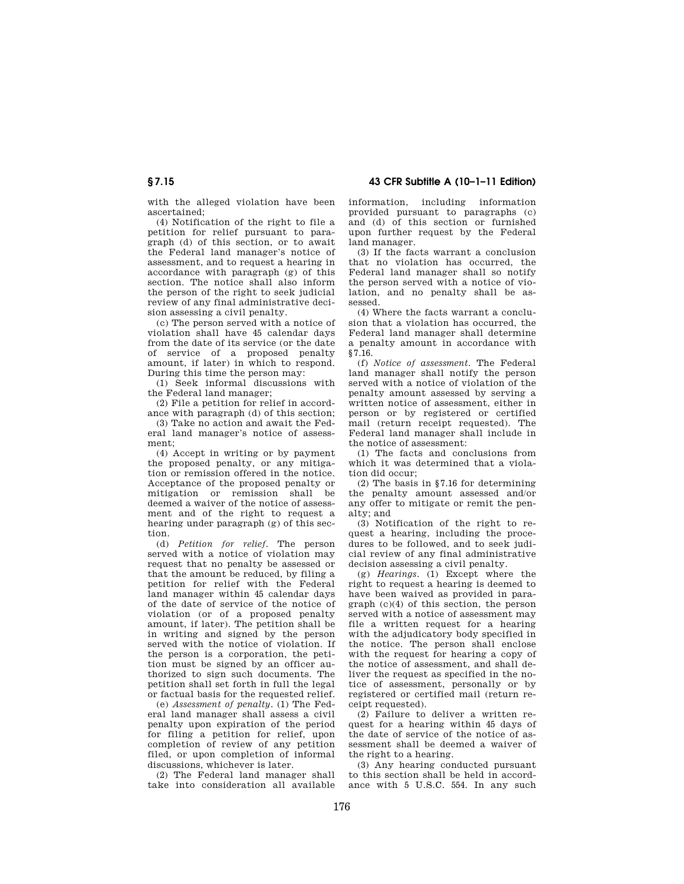with the alleged violation have been ascertained;

(4) Notification of the right to file a petition for relief pursuant to paragraph (d) of this section, or to await the Federal land manager's notice of assessment, and to request a hearing in accordance with paragraph (g) of this section. The notice shall also inform the person of the right to seek judicial review of any final administrative decision assessing a civil penalty.

(c) The person served with a notice of violation shall have 45 calendar days from the date of its service (or the date of service of a proposed penalty amount, if later) in which to respond. During this time the person may:

(1) Seek informal discussions with the Federal land manager;

(2) File a petition for relief in accordance with paragraph (d) of this section;

(3) Take no action and await the Federal land manager's notice of assessment;

(4) Accept in writing or by payment the proposed penalty, or any mitigation or remission offered in the notice. Acceptance of the proposed penalty or mitigation or remission shall be deemed a waiver of the notice of assessment and of the right to request a hearing under paragraph (g) of this section.

(d) *Petition for relief.* The person served with a notice of violation may request that no penalty be assessed or that the amount be reduced, by filing a petition for relief with the Federal land manager within 45 calendar days of the date of service of the notice of violation (or of a proposed penalty amount, if later). The petition shall be in writing and signed by the person served with the notice of violation. If the person is a corporation, the petition must be signed by an officer authorized to sign such documents. The petition shall set forth in full the legal or factual basis for the requested relief.

(e) *Assessment of penalty.* (1) The Federal land manager shall assess a civil penalty upon expiration of the period for filing a petition for relief, upon completion of review of any petition filed, or upon completion of informal discussions, whichever is later.

(2) The Federal land manager shall take into consideration all available information, including information provided pursuant to paragraphs (c) and (d) of this section or furnished upon further request by the Federal land manager.

(3) If the facts warrant a conclusion that no violation has occurred, the Federal land manager shall so notify the person served with a notice of violation, and no penalty shall be assessed.

(4) Where the facts warrant a conclusion that a violation has occurred, the Federal land manager shall determine a penalty amount in accordance with §7.16.

(f) *Notice of assessment.* The Federal land manager shall notify the person served with a notice of violation of the penalty amount assessed by serving a written notice of assessment, either in person or by registered or certified mail (return receipt requested). The Federal land manager shall include in the notice of assessment:

(1) The facts and conclusions from which it was determined that a violation did occur;

(2) The basis in §7.16 for determining the penalty amount assessed and/or any offer to mitigate or remit the penalty; and

(3) Notification of the right to request a hearing, including the procedures to be followed, and to seek judicial review of any final administrative decision assessing a civil penalty.

(g) *Hearings.* (1) Except where the right to request a hearing is deemed to have been waived as provided in paragraph (c)(4) of this section, the person served with a notice of assessment may file a written request for a hearing with the adjudicatory body specified in the notice. The person shall enclose with the request for hearing a copy of the notice of assessment, and shall deliver the request as specified in the notice of assessment, personally or by registered or certified mail (return receipt requested).

(2) Failure to deliver a written request for a hearing within 45 days of the date of service of the notice of assessment shall be deemed a waiver of the right to a hearing.

(3) Any hearing conducted pursuant to this section shall be held in accordance with 5 U.S.C. 554. In any such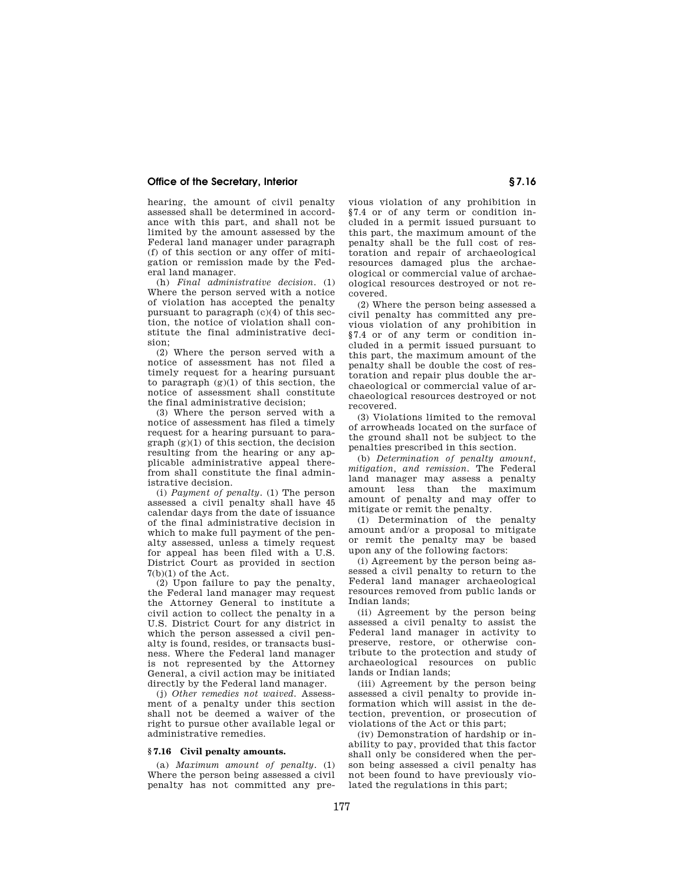hearing, the amount of civil penalty assessed shall be determined in accordance with this part, and shall not be limited by the amount assessed by the Federal land manager under paragraph (f) of this section or any offer of mitigation or remission made by the Federal land manager.

(h) *Final administrative decision.* (1) Where the person served with a notice of violation has accepted the penalty pursuant to paragraph (c)(4) of this section, the notice of violation shall constitute the final administrative decision;

(2) Where the person served with a notice of assessment has not filed a timely request for a hearing pursuant to paragraph  $(g)(1)$  of this section, the notice of assessment shall constitute the final administrative decision;

(3) Where the person served with a notice of assessment has filed a timely request for a hearing pursuant to para $graph (g)(1)$  of this section, the decision resulting from the hearing or any applicable administrative appeal therefrom shall constitute the final administrative decision.

(i) *Payment of penalty.* (1) The person assessed a civil penalty shall have 45 calendar days from the date of issuance of the final administrative decision in which to make full payment of the penalty assessed, unless a timely request for appeal has been filed with a U.S. District Court as provided in section  $7(b)(1)$  of the Act.

(2) Upon failure to pay the penalty, the Federal land manager may request the Attorney General to institute a civil action to collect the penalty in a U.S. District Court for any district in which the person assessed a civil penalty is found, resides, or transacts business. Where the Federal land manager is not represented by the Attorney General, a civil action may be initiated directly by the Federal land manager.

(j) *Other remedies not waived.* Assessment of a penalty under this section shall not be deemed a waiver of the right to pursue other available legal or administrative remedies.

### **§ 7.16 Civil penalty amounts.**

(a) *Maximum amount of penalty.* (1) Where the person being assessed a civil penalty has not committed any pre-

vious violation of any prohibition in §7.4 or of any term or condition included in a permit issued pursuant to this part, the maximum amount of the penalty shall be the full cost of restoration and repair of archaeological resources damaged plus the archaeological or commercial value of archaeological resources destroyed or not recovered.

(2) Where the person being assessed a civil penalty has committed any previous violation of any prohibition in §7.4 or of any term or condition included in a permit issued pursuant to this part, the maximum amount of the penalty shall be double the cost of restoration and repair plus double the archaeological or commercial value of archaeological resources destroyed or not recovered.

(3) Violations limited to the removal of arrowheads located on the surface of the ground shall not be subject to the penalties prescribed in this section.

(b) *Determination of penalty amount, mitigation, and remission.* The Federal land manager may assess a penalty amount less than the maximum amount of penalty and may offer to mitigate or remit the penalty.

(1) Determination of the penalty amount and/or a proposal to mitigate or remit the penalty may be based upon any of the following factors:

(i) Agreement by the person being assessed a civil penalty to return to the Federal land manager archaeological resources removed from public lands or Indian lands;

(ii) Agreement by the person being assessed a civil penalty to assist the Federal land manager in activity to preserve, restore, or otherwise contribute to the protection and study of archaeological resources on public lands or Indian lands;

(iii) Agreement by the person being assessed a civil penalty to provide information which will assist in the detection, prevention, or prosecution of violations of the Act or this part;

(iv) Demonstration of hardship or inability to pay, provided that this factor shall only be considered when the person being assessed a civil penalty has not been found to have previously violated the regulations in this part;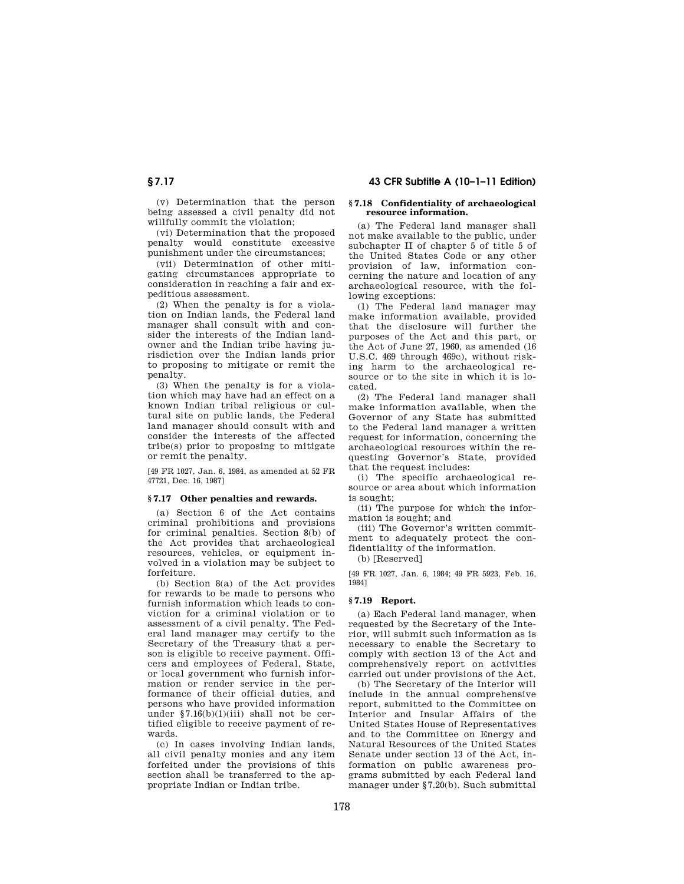(v) Determination that the person being assessed a civil penalty did not willfully commit the violation;

(vi) Determination that the proposed penalty would constitute excessive punishment under the circumstances;

(vii) Determination of other mitigating circumstances appropriate to consideration in reaching a fair and expeditious assessment.

(2) When the penalty is for a violation on Indian lands, the Federal land manager shall consult with and consider the interests of the Indian landowner and the Indian tribe having jurisdiction over the Indian lands prior to proposing to mitigate or remit the penalty.

(3) When the penalty is for a violation which may have had an effect on a known Indian tribal religious or cultural site on public lands, the Federal land manager should consult with and consider the interests of the affected tribe(s) prior to proposing to mitigate or remit the penalty.

[49 FR 1027, Jan. 6, 1984, as amended at 52 FR 47721, Dec. 16, 1987]

## **§ 7.17 Other penalties and rewards.**

(a) Section 6 of the Act contains criminal prohibitions and provisions for criminal penalties. Section 8(b) of the Act provides that archaeological resources, vehicles, or equipment involved in a violation may be subject to forfeiture.

(b) Section 8(a) of the Act provides for rewards to be made to persons who furnish information which leads to conviction for a criminal violation or to assessment of a civil penalty. The Federal land manager may certify to the Secretary of the Treasury that a person is eligible to receive payment. Officers and employees of Federal, State, or local government who furnish information or render service in the performance of their official duties, and persons who have provided information under §7.16(b)(1)(iii) shall not be certified eligible to receive payment of rewards.

(c) In cases involving Indian lands, all civil penalty monies and any item forfeited under the provisions of this section shall be transferred to the appropriate Indian or Indian tribe.

### **§ 7.18 Confidentiality of archaeological resource information.**

(a) The Federal land manager shall not make available to the public, under subchapter II of chapter 5 of title 5 of the United States Code or any other provision of law, information concerning the nature and location of any archaeological resource, with the following exceptions:

(1) The Federal land manager may make information available, provided that the disclosure will further the purposes of the Act and this part, or the Act of June 27, 1960, as amended (16 U.S.C. 469 through 469c), without risking harm to the archaeological resource or to the site in which it is located.

(2) The Federal land manager shall make information available, when the Governor of any State has submitted to the Federal land manager a written request for information, concerning the archaeological resources within the requesting Governor's State, provided that the request includes:

(i) The specific archaeological resource or area about which information is sought;

(ii) The purpose for which the information is sought; and

(iii) The Governor's written commitment to adequately protect the confidentiality of the information.

(b) [Reserved]

[49 FR 1027, Jan. 6, 1984; 49 FR 5923, Feb. 16, 1984]

# **§ 7.19 Report.**

(a) Each Federal land manager, when requested by the Secretary of the Interior, will submit such information as is necessary to enable the Secretary to comply with section 13 of the Act and comprehensively report on activities carried out under provisions of the Act.

(b) The Secretary of the Interior will include in the annual comprehensive report, submitted to the Committee on Interior and Insular Affairs of the United States House of Representatives and to the Committee on Energy and Natural Resources of the United States Senate under section 13 of the Act, information on public awareness programs submitted by each Federal land manager under §7.20(b). Such submittal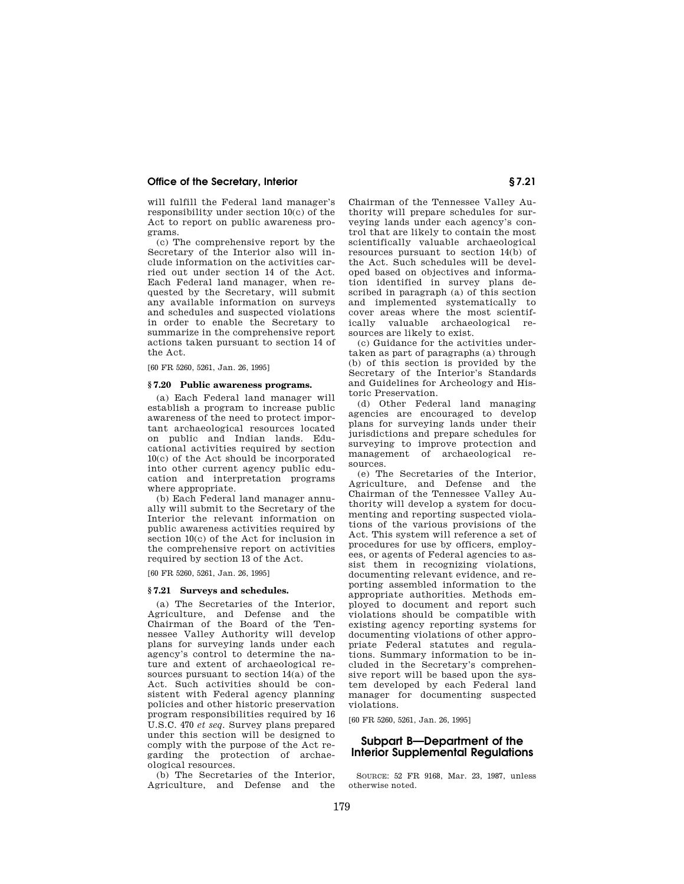will fulfill the Federal land manager's responsibility under section 10(c) of the Act to report on public awareness programs.

(c) The comprehensive report by the Secretary of the Interior also will include information on the activities carried out under section 14 of the Act. Each Federal land manager, when requested by the Secretary, will submit any available information on surveys and schedules and suspected violations in order to enable the Secretary to summarize in the comprehensive report actions taken pursuant to section 14 of the Act.

[60 FR 5260, 5261, Jan. 26, 1995]

### **§ 7.20 Public awareness programs.**

(a) Each Federal land manager will establish a program to increase public awareness of the need to protect important archaeological resources located on public and Indian lands. Educational activities required by section 10(c) of the Act should be incorporated into other current agency public education and interpretation programs where appropriate.

(b) Each Federal land manager annually will submit to the Secretary of the Interior the relevant information on public awareness activities required by section 10(c) of the Act for inclusion in the comprehensive report on activities required by section 13 of the Act.

[60 FR 5260, 5261, Jan. 26, 1995]

### **§ 7.21 Surveys and schedules.**

(a) The Secretaries of the Interior, Agriculture, and Defense and the Chairman of the Board of the Tennessee Valley Authority will develop plans for surveying lands under each agency's control to determine the nature and extent of archaeological resources pursuant to section 14(a) of the Act. Such activities should be consistent with Federal agency planning policies and other historic preservation program responsibilities required by 16 U.S.C. 470 *et seq.* Survey plans prepared under this section will be designed to comply with the purpose of the Act regarding the protection of archaeological resources.

(b) The Secretaries of the Interior, Agriculture, and Defense and the Chairman of the Tennessee Valley Authority will prepare schedules for surveying lands under each agency's control that are likely to contain the most scientifically valuable archaeological resources pursuant to section 14(b) of the Act. Such schedules will be developed based on objectives and information identified in survey plans described in paragraph (a) of this section and implemented systematically to cover areas where the most scientifically valuable archaeological resources are likely to exist.

(c) Guidance for the activities undertaken as part of paragraphs (a) through (b) of this section is provided by the Secretary of the Interior's Standards and Guidelines for Archeology and Historic Preservation.

(d) Other Federal land managing agencies are encouraged to develop plans for surveying lands under their jurisdictions and prepare schedules for surveying to improve protection and management of archaeological resources.

(e) The Secretaries of the Interior, Agriculture, and Defense and the Chairman of the Tennessee Valley Authority will develop a system for documenting and reporting suspected violations of the various provisions of the Act. This system will reference a set of procedures for use by officers, employees, or agents of Federal agencies to assist them in recognizing violations, documenting relevant evidence, and reporting assembled information to the appropriate authorities. Methods employed to document and report such violations should be compatible with existing agency reporting systems for documenting violations of other appropriate Federal statutes and regulations. Summary information to be included in the Secretary's comprehensive report will be based upon the system developed by each Federal land manager for documenting suspected violations.

[60 FR 5260, 5261, Jan. 26, 1995]

# **Subpart B—Department of the Interior Supplemental Regulations**

SOURCE: 52 FR 9168, Mar. 23, 1987, unless otherwise noted.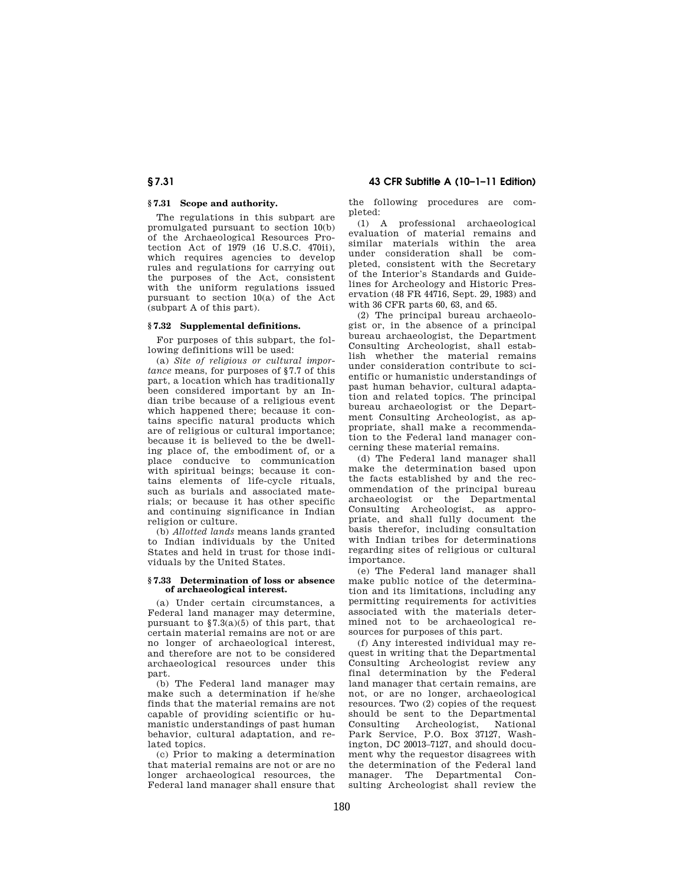# **§ 7.31 43 CFR Subtitle A (10–1–11 Edition)**

# **§ 7.31 Scope and authority.**

The regulations in this subpart are promulgated pursuant to section 10(b) of the Archaeological Resources Protection Act of 1979 (16 U.S.C. 470ii), which requires agencies to develop rules and regulations for carrying out the purposes of the Act, consistent with the uniform regulations issued pursuant to section 10(a) of the Act (subpart A of this part).

# **§ 7.32 Supplemental definitions.**

For purposes of this subpart, the following definitions will be used:

(a) *Site of religious or cultural importance* means, for purposes of §7.7 of this part, a location which has traditionally been considered important by an Indian tribe because of a religious event which happened there; because it contains specific natural products which are of religious or cultural importance; because it is believed to the be dwelling place of, the embodiment of, or a place conducive to communication with spiritual beings; because it contains elements of life-cycle rituals, such as burials and associated materials; or because it has other specific and continuing significance in Indian religion or culture.

(b) *Allotted lands* means lands granted to Indian individuals by the United States and held in trust for those individuals by the United States.

# **§ 7.33 Determination of loss or absence of archaeological interest.**

(a) Under certain circumstances, a Federal land manager may determine, pursuant to §7.3(a)(5) of this part, that certain material remains are not or are no longer of archaeological interest, and therefore are not to be considered archaeological resources under this part.

(b) The Federal land manager may make such a determination if he/she finds that the material remains are not capable of providing scientific or humanistic understandings of past human behavior, cultural adaptation, and related topics.

(c) Prior to making a determination that material remains are not or are no longer archaeological resources, the Federal land manager shall ensure that

the following procedures are completed:

(1) A professional archaeological evaluation of material remains and similar materials within the area under consideration shall be completed, consistent with the Secretary of the Interior's Standards and Guidelines for Archeology and Historic Preservation (48 FR 44716, Sept. 29, 1983) and with 36 CFR parts 60, 63, and 65.

(2) The principal bureau archaeologist or, in the absence of a principal bureau archaeologist, the Department Consulting Archeologist, shall establish whether the material remains under consideration contribute to scientific or humanistic understandings of past human behavior, cultural adaptation and related topics. The principal bureau archaeologist or the Department Consulting Archeologist, as appropriate, shall make a recommendation to the Federal land manager concerning these material remains.

(d) The Federal land manager shall make the determination based upon the facts established by and the recommendation of the principal bureau archaeologist or the Departmental Consulting Archeologist, as appropriate, and shall fully document the basis therefor, including consultation with Indian tribes for determinations regarding sites of religious or cultural importance.

(e) The Federal land manager shall make public notice of the determination and its limitations, including any permitting requirements for activities associated with the materials determined not to be archaeological resources for purposes of this part.

(f) Any interested individual may request in writing that the Departmental Consulting Archeologist review any final determination by the Federal land manager that certain remains, are not, or are no longer, archaeological resources. Two (2) copies of the request should be sent to the Departmental Consulting Archeologist, National Park Service, P.O. Box 37127, Washington, DC 20013–7127, and should document why the requestor disagrees with the determination of the Federal land manager. The Departmental Consulting Archeologist shall review the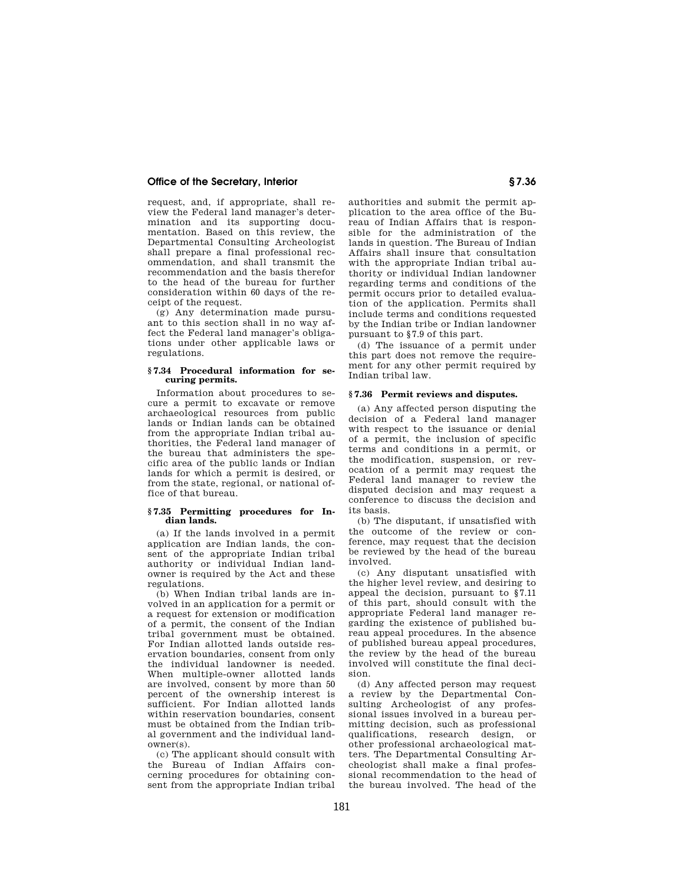request, and, if appropriate, shall review the Federal land manager's determination and its supporting documentation. Based on this review, the Departmental Consulting Archeologist shall prepare a final professional recommendation, and shall transmit the recommendation and the basis therefor to the head of the bureau for further consideration within 60 days of the receipt of the request.

(g) Any determination made pursuant to this section shall in no way affect the Federal land manager's obligations under other applicable laws or regulations.

### **§ 7.34 Procedural information for securing permits.**

Information about procedures to secure a permit to excavate or remove archaeological resources from public lands or Indian lands can be obtained from the appropriate Indian tribal authorities, the Federal land manager of the bureau that administers the specific area of the public lands or Indian lands for which a permit is desired, or from the state, regional, or national office of that bureau.

### **§ 7.35 Permitting procedures for Indian lands.**

(a) If the lands involved in a permit application are Indian lands, the consent of the appropriate Indian tribal authority or individual Indian landowner is required by the Act and these regulations

(b) When Indian tribal lands are involved in an application for a permit or a request for extension or modification of a permit, the consent of the Indian tribal government must be obtained. For Indian allotted lands outside reservation boundaries, consent from only the individual landowner is needed. When multiple-owner allotted lands are involved, consent by more than 50 percent of the ownership interest is sufficient. For Indian allotted lands within reservation boundaries, consent must be obtained from the Indian tribal government and the individual landowner(s).

(c) The applicant should consult with the Bureau of Indian Affairs concerning procedures for obtaining consent from the appropriate Indian tribal authorities and submit the permit application to the area office of the Bureau of Indian Affairs that is responsible for the administration of the lands in question. The Bureau of Indian Affairs shall insure that consultation with the appropriate Indian tribal authority or individual Indian landowner regarding terms and conditions of the permit occurs prior to detailed evaluation of the application. Permits shall include terms and conditions requested by the Indian tribe or Indian landowner pursuant to §7.9 of this part.

(d) The issuance of a permit under this part does not remove the requirement for any other permit required by Indian tribal law.

## **§ 7.36 Permit reviews and disputes.**

(a) Any affected person disputing the decision of a Federal land manager with respect to the issuance or denial of a permit, the inclusion of specific terms and conditions in a permit, or the modification, suspension, or revocation of a permit may request the Federal land manager to review the disputed decision and may request a conference to discuss the decision and its basis.

(b) The disputant, if unsatisfied with the outcome of the review or conference, may request that the decision be reviewed by the head of the bureau involved.

(c) Any disputant unsatisfied with the higher level review, and desiring to appeal the decision, pursuant to §7.11 of this part, should consult with the appropriate Federal land manager regarding the existence of published bureau appeal procedures. In the absence of published bureau appeal procedures, the review by the head of the bureau involved will constitute the final decision.

(d) Any affected person may request a review by the Departmental Consulting Archeologist of any professional issues involved in a bureau permitting decision, such as professional qualifications, research design, or other professional archaeological matters. The Departmental Consulting Archeologist shall make a final professional recommendation to the head of the bureau involved. The head of the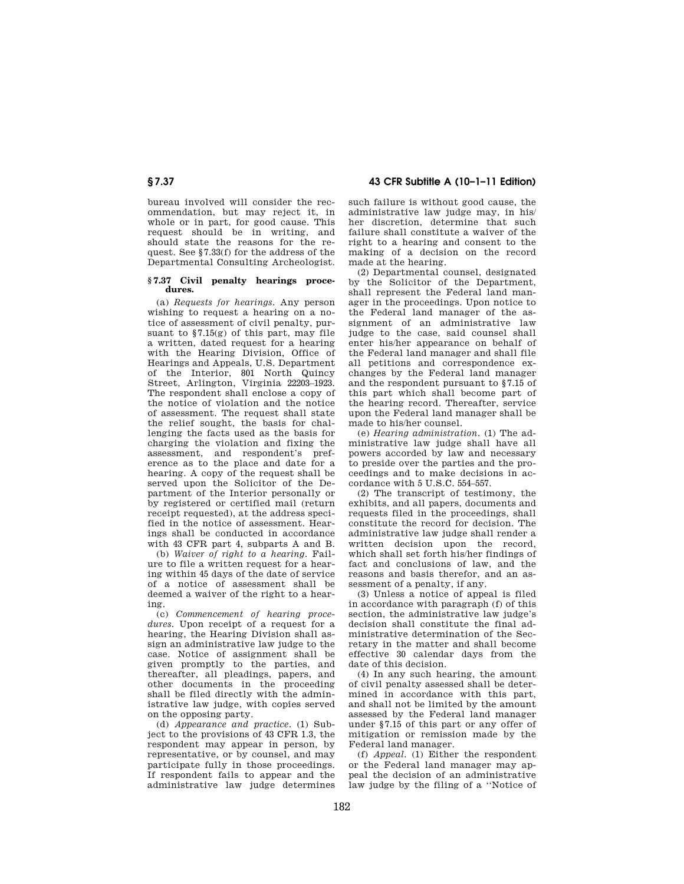# **§ 7.37 43 CFR Subtitle A (10–1–11 Edition)**

bureau involved will consider the recommendation, but may reject it, in whole or in part, for good cause. This request should be in writing, and should state the reasons for the request. See §7.33(f) for the address of the Departmental Consulting Archeologist.

### **§ 7.37 Civil penalty hearings procedures.**

(a) *Requests for hearings.* Any person wishing to request a hearing on a notice of assessment of civil penalty, pursuant to §7.15(g) of this part, may file a written, dated request for a hearing with the Hearing Division, Office of Hearings and Appeals, U.S. Department of the Interior, 801 North Quincy Street, Arlington, Virginia 22203–1923. The respondent shall enclose a copy of the notice of violation and the notice of assessment. The request shall state the relief sought, the basis for challenging the facts used as the basis for charging the violation and fixing the assessment, and respondent's preference as to the place and date for a hearing. A copy of the request shall be served upon the Solicitor of the Department of the Interior personally or by registered or certified mail (return receipt requested), at the address specified in the notice of assessment. Hearings shall be conducted in accordance with 43 CFR part 4, subparts A and B.

(b) *Waiver of right to a hearing.* Failure to file a written request for a hearing within 45 days of the date of service of a notice of assessment shall be deemed a waiver of the right to a hearing.

(c) *Commencement of hearing procedures.* Upon receipt of a request for a hearing, the Hearing Division shall assign an administrative law judge to the case. Notice of assignment shall be given promptly to the parties, and thereafter, all pleadings, papers, and other documents in the proceeding shall be filed directly with the administrative law judge, with copies served on the opposing party.

(d) *Appearance and practice.* (1) Subject to the provisions of 43 CFR 1.3, the respondent may appear in person, by representative, or by counsel, and may participate fully in those proceedings. If respondent fails to appear and the administrative law judge determines such failure is without good cause, the administrative law judge may, in his/ her discretion, determine that such failure shall constitute a waiver of the right to a hearing and consent to the making of a decision on the record made at the hearing.

(2) Departmental counsel, designated by the Solicitor of the Department, shall represent the Federal land manager in the proceedings. Upon notice to the Federal land manager of the assignment of an administrative law judge to the case, said counsel shall enter his/her appearance on behalf of the Federal land manager and shall file all petitions and correspondence exchanges by the Federal land manager and the respondent pursuant to §7.15 of this part which shall become part of the hearing record. Thereafter, service upon the Federal land manager shall be made to his/her counsel.

(e) *Hearing administration.* (1) The administrative law judge shall have all powers accorded by law and necessary to preside over the parties and the proceedings and to make decisions in accordance with 5 U.S.C. 554–557.

(2) The transcript of testimony, the exhibits, and all papers, documents and requests filed in the proceedings, shall constitute the record for decision. The administrative law judge shall render a written decision upon the record, which shall set forth his/her findings of fact and conclusions of law, and the reasons and basis therefor, and an assessment of a penalty, if any.

(3) Unless a notice of appeal is filed in accordance with paragraph (f) of this section, the administrative law judge's decision shall constitute the final administrative determination of the Secretary in the matter and shall become effective 30 calendar days from the date of this decision.

(4) In any such hearing, the amount of civil penalty assessed shall be determined in accordance with this part, and shall not be limited by the amount assessed by the Federal land manager under §7.15 of this part or any offer of mitigation or remission made by the Federal land manager.

(f) *Appeal.* (1) Either the respondent or the Federal land manager may appeal the decision of an administrative law judge by the filing of a ''Notice of